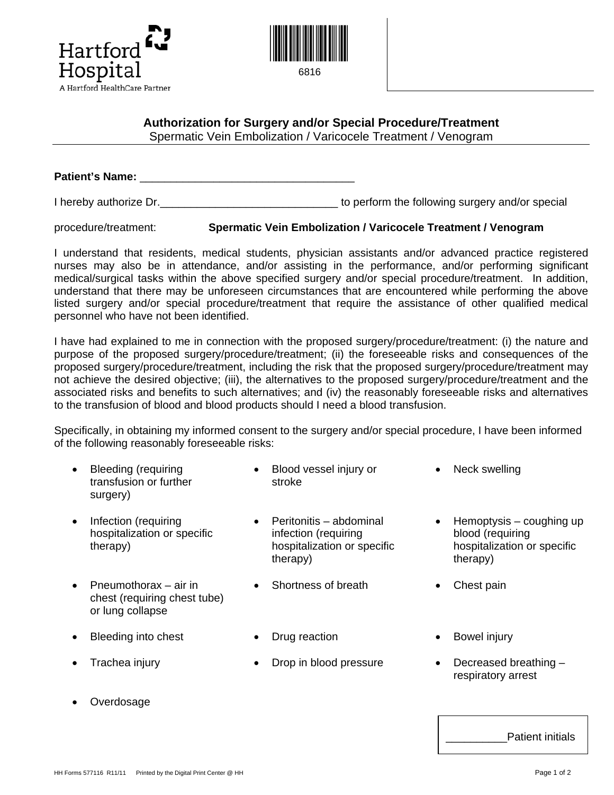



## **Authorization for Surgery and/or Special Procedure/Treatment**

Spermatic Vein Embolization / Varicocele Treatment / Venogram

**Patient's Name:** \_\_\_\_\_\_\_\_\_\_\_\_\_\_\_\_\_\_\_\_\_\_\_\_\_\_\_\_\_\_\_\_\_\_\_

I hereby authorize Dr.  $\blacksquare$ 

procedure/treatment: **Spermatic Vein Embolization / Varicocele Treatment / Venogram**

I understand that residents, medical students, physician assistants and/or advanced practice registered nurses may also be in attendance, and/or assisting in the performance, and/or performing significant medical/surgical tasks within the above specified surgery and/or special procedure/treatment. In addition, understand that there may be unforeseen circumstances that are encountered while performing the above listed surgery and/or special procedure/treatment that require the assistance of other qualified medical personnel who have not been identified.

I have had explained to me in connection with the proposed surgery/procedure/treatment: (i) the nature and purpose of the proposed surgery/procedure/treatment; (ii) the foreseeable risks and consequences of the proposed surgery/procedure/treatment, including the risk that the proposed surgery/procedure/treatment may not achieve the desired objective; (iii), the alternatives to the proposed surgery/procedure/treatment and the associated risks and benefits to such alternatives; and (iv) the reasonably foreseeable risks and alternatives to the transfusion of blood and blood products should I need a blood transfusion.

Specifically, in obtaining my informed consent to the surgery and/or special procedure, I have been informed of the following reasonably foreseeable risks:

- Bleeding (requiring transfusion or further surgery)
- Infection (requiring hospitalization or specific therapy)
- Pneumothorax air in chest (requiring chest tube) or lung collapse
- Bleeding into chest Drug reaction Bowel injury
- 

stroke

• Blood vessel injury or

- Peritonitis abdominal infection (requiring hospitalization or specific therapy)
- Shortness of breath Chest pain
- 
- Trachea injury Drop in blood pressure Decreased breathing –
- - respiratory arrest

• Hemoptysis – coughing up

hospitalization or specific

blood (requiring

therapy)

Neck swelling

**Overdosage** 

Patient initials